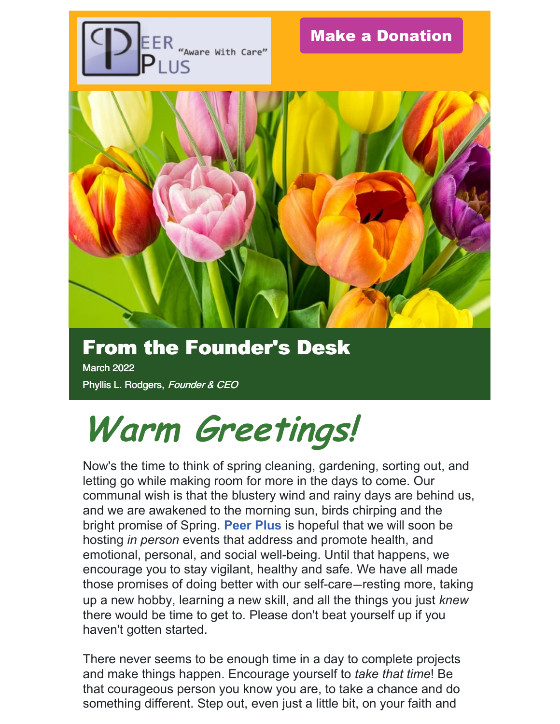

# From the Founder's Desk

March 2022 Phyllis L. Rodgers, Founder & CEO

# **Warm Greetings!**

Now's the time to think of spring cleaning, gardening, sorting out, and letting go while making room for more in the days to come. Our communal wish is that the blustery wind and rainy days are behind us, and we are awakened to the morning sun, birds chirping and the bright promise of Spring. **Peer Plus** is hopeful that we will soon be hosting *in person* events that address and promote health, and emotional, personal, and social well-being. Until that happens, we encourage you to stay vigilant, healthy and safe. We have all made those promises of doing better with our self-care—resting more, taking up a new hobby, learning a new skill, and all the things you just *knew* there would be time to get to. Please don't beat yourself up if you haven't gotten started.

There never seems to be enough time in a day to complete projects and make things happen. Encourage yourself to *take that time*! Be that courageous person you know you are, to take a chance and do something different. Step out, even just a little bit, on your faith and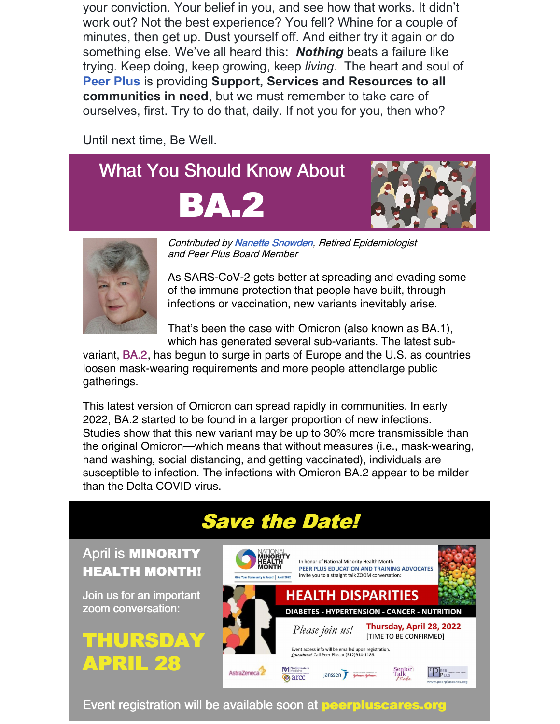your conviction. Your belief in you, and see how that works. It didn't work out? Not the best experience? You fell? Whine for a couple of minutes, then get up. Dust yourself off. And either try it again or do something else. We've all heard this: *Nothing* beats a failure like trying. Keep doing, keep growing, keep *living.* The heart and soul of **Peer Plus** is providing **Support, Services and Resources to all communities in need**, but we must remember to take care of ourselves, first. Try to do that, daily. If not you for you, then who?

Until next time, Be Well.





APRIL

Contributed by Nanette Snowden, Retired Epidemiologist and Peer Plus Board Member

As SARS-CoV-2 gets better at spreading and evading some of the immune protection that people have built, through infections or vaccination, new variants inevitably arise.

That's been the case with Omicron (also known as BA.1), which has generated several sub-variants. The latest sub-

variant, BA.2, has begun to surge in parts of Europe and the U.S. as countries loosen mask-wearing requirements and more people attendlarge public gatherings.

This latest version of Omicron can spread rapidly in communities. In early 2022, BA.2 started to be found in a larger proportion of new infections. Studies show that this new variant may be up to 30% more transmissible than the original Omicron—which means that without measures (i.e., mask-wearing, hand washing, social distancing, and getting vaccinated), individuals are susceptible to infection. The infections with Omicron BA.2 appear to be milder than the Delta COVID virus.

### Save the Date!



Event registration will be available soon at **peerpluscares.org**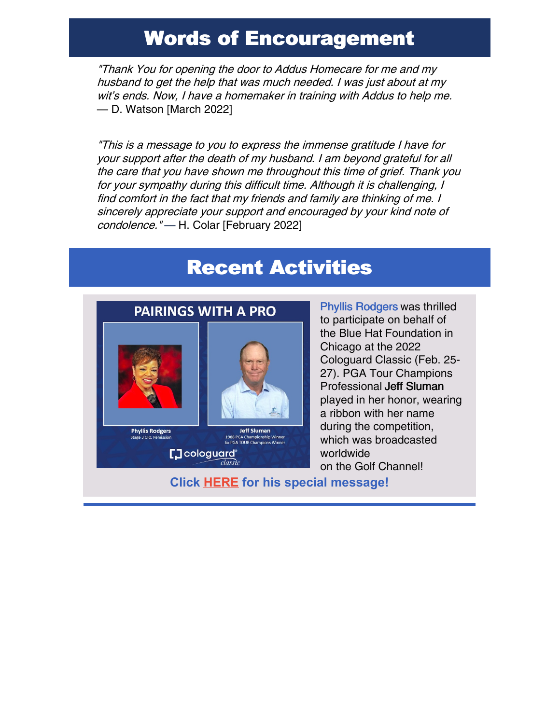### Words of Encouragement

"Thank You for opening the door to Addus Homecare for me and my husband to get the help that was much needed. I was just about at my wit's ends. Now, I have <sup>a</sup> homemaker in training with Addus to help me. — D. Watson [March 2022]

"This is <sup>a</sup> message to you to express the immense gratitude I have for your support after the death of my husband. I am beyond grateful for all the care that you have shown me throughout this time of grief. Thank you for your sympathy during this difficult time. Although it is challenging, I find comfort in the fact that my friends and family are thinking of me. I sincerely appreciate your support and encouraged by your kind note of condolence." — H. Colar [February 2022]

### Recent Activities



Phyllis Rodgers was thrilled to participate on behalf of the Blue Hat Foundation in Chicago at the 2022 Cologuard Classic (Feb. 25- 27). PGA Tour Champions Professional Jeff Sluman played in her honor, wearing a ribbon with her name during the competition, which was broadcasted worldwide on the Golf Channel!

**Click [HERE](https://www.dropbox.com/s/5mm78l1pyxyuwnx/Video Feb 22%2C 2 22 09 PM.mov?dl=0) for his special message!**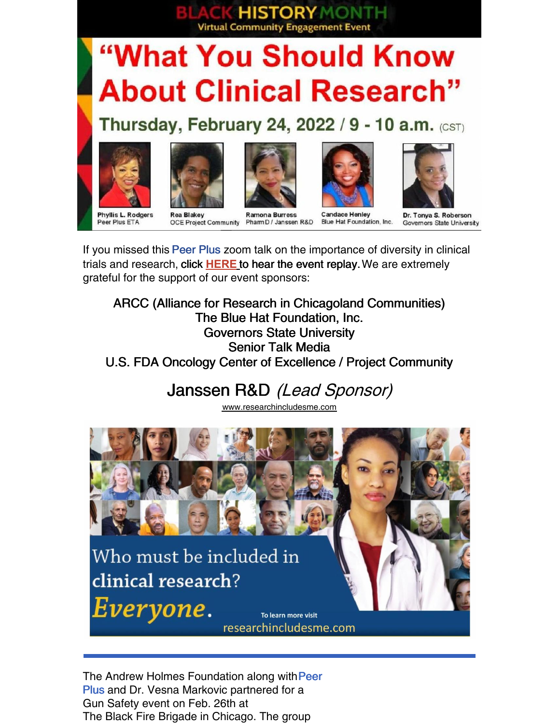# **Virtual Community Engagement Event** "What You Should Know **About Clinical Research"**

**HISTORY MONT** 

### Thursday, February 24, 2022 / 9 - 10 a.m. (CST)











**Phyllis L. Rodgers** Peer Plus ETA

**Rea Blakey OCE Project Community** 

**Ramona Burress** Pharm D / Janssen R&D

**Candace Henley** Blue Hat Foundation, Inc.

Dr. Tonya S. Roberson Governors State University

If you missed this Peer Plus zoom talk on the importance of diversity in clinical trials and research, click **[HERE](https://drive.google.com/file/d/1_qX6yKfoZFjzuweiV2vdaAV7I5ozdpqe/view)** to hear the event replay.We are extremely grateful for the support of our event sponsors:

ARCC (Alliance for Research in Chicagoland Communities) The Blue Hat Foundation, Inc. Governors State University Senior Talk Media U.S. FDA Oncology Center of Excellence / Project Community

### Janssen R&D (Lead Sponsor)

[www.researchincludesme.com](https://www.researchincludesme.com/)



The Andrew Holmes Foundation along with Peer Plus and Dr. Vesna Markovic partnered for a Gun Safety event on Feb. 26th at The Black Fire Brigade in Chicago. The group